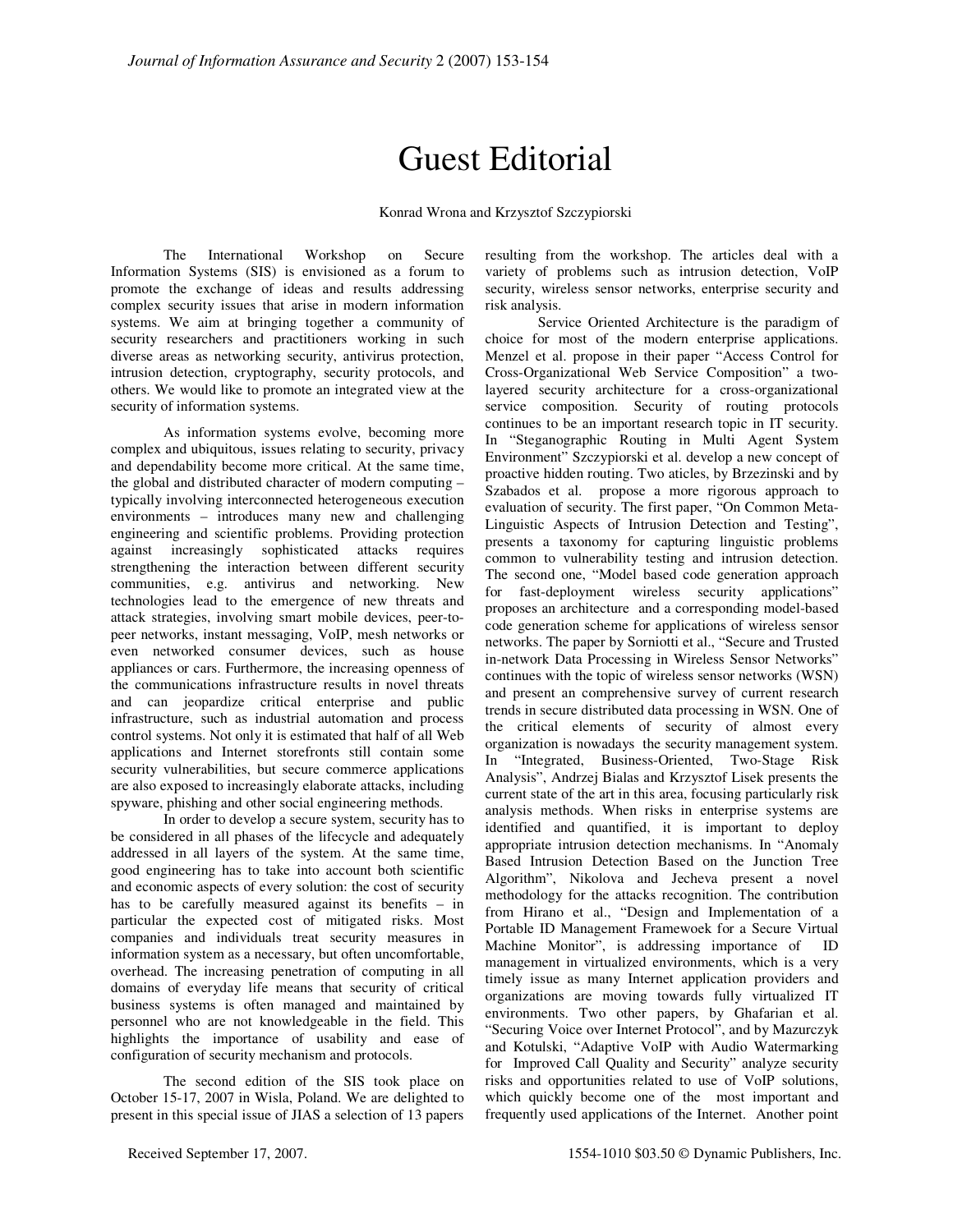## Guest Editorial

## Konrad Wrona and Krzysztof Szczypiorski

The International Workshop on Secure Information Systems (SIS) is envisioned as a forum to promote the exchange of ideas and results addressing complex security issues that arise in modern information systems. We aim at bringing together a community of security researchers and practitioners working in such diverse areas as networking security, antivirus protection, intrusion detection, cryptography, security protocols, and others. We would like to promote an integrated view at the security of information systems.

As information systems evolve, becoming more complex and ubiquitous, issues relating to security, privacy and dependability become more critical. At the same time, the global and distributed character of modern computing – typically involving interconnected heterogeneous execution environments – introduces many new and challenging engineering and scientific problems. Providing protection against increasingly sophisticated attacks requires strengthening the interaction between different security communities, e.g. antivirus and networking. New technologies lead to the emergence of new threats and attack strategies, involving smart mobile devices, peer-topeer networks, instant messaging, VoIP, mesh networks or even networked consumer devices, such as house appliances or cars. Furthermore, the increasing openness of the communications infrastructure results in novel threats and can jeopardize critical enterprise and public infrastructure, such as industrial automation and process control systems. Not only it is estimated that half of all Web applications and Internet storefronts still contain some security vulnerabilities, but secure commerce applications are also exposed to increasingly elaborate attacks, including spyware, phishing and other social engineering methods.

In order to develop a secure system, security has to be considered in all phases of the lifecycle and adequately addressed in all layers of the system. At the same time, good engineering has to take into account both scientific and economic aspects of every solution: the cost of security has to be carefully measured against its benefits – in particular the expected cost of mitigated risks. Most companies and individuals treat security measures in information system as a necessary, but often uncomfortable, overhead. The increasing penetration of computing in all domains of everyday life means that security of critical business systems is often managed and maintained by personnel who are not knowledgeable in the field. This highlights the importance of usability and ease of configuration of security mechanism and protocols.

The second edition of the SIS took place on October 15-17, 2007 in Wisla, Poland. We are delighted to present in this special issue of JIAS a selection of 13 papers

resulting from the workshop. The articles deal with a variety of problems such as intrusion detection, VoIP security, wireless sensor networks, enterprise security and risk analysis.

Service Oriented Architecture is the paradigm of choice for most of the modern enterprise applications. Menzel et al. propose in their paper "Access Control for Cross-Organizational Web Service Composition" a twolayered security architecture for a cross-organizational service composition. Security of routing protocols continues to be an important research topic in IT security. In "Steganographic Routing in Multi Agent System Environment" Szczypiorski et al. develop a new concept of proactive hidden routing. Two aticles, by Brzezinski and by Szabados et al. propose a more rigorous approach to evaluation of security. The first paper, "On Common Meta-Linguistic Aspects of Intrusion Detection and Testing", presents a taxonomy for capturing linguistic problems common to vulnerability testing and intrusion detection. The second one, "Model based code generation approach for fast-deployment wireless security applications" proposes an architecture and a corresponding model-based code generation scheme for applications of wireless sensor networks. The paper by Sorniotti et al., "Secure and Trusted in-network Data Processing in Wireless Sensor Networks" continues with the topic of wireless sensor networks (WSN) and present an comprehensive survey of current research trends in secure distributed data processing in WSN. One of the critical elements of security of almost every organization is nowadays the security management system. In "Integrated, Business-Oriented, Two-Stage Risk Analysis", Andrzej Bialas and Krzysztof Lisek presents the current state of the art in this area, focusing particularly risk analysis methods. When risks in enterprise systems are identified and quantified, it is important to deploy appropriate intrusion detection mechanisms. In "Anomaly Based Intrusion Detection Based on the Junction Tree Algorithm", Nikolova and Jecheva present a novel methodology for the attacks recognition. The contribution from Hirano et al., "Design and Implementation of a Portable ID Management Framewoek for a Secure Virtual Machine Monitor", is addressing importance of ID management in virtualized environments, which is a very timely issue as many Internet application providers and organizations are moving towards fully virtualized IT environments. Two other papers, by Ghafarian et al. "Securing Voice over Internet Protocol", and by Mazurczyk and Kotulski, "Adaptive VoIP with Audio Watermarking for Improved Call Quality and Security" analyze security risks and opportunities related to use of VoIP solutions, which quickly become one of the most important and frequently used applications of the Internet. Another point